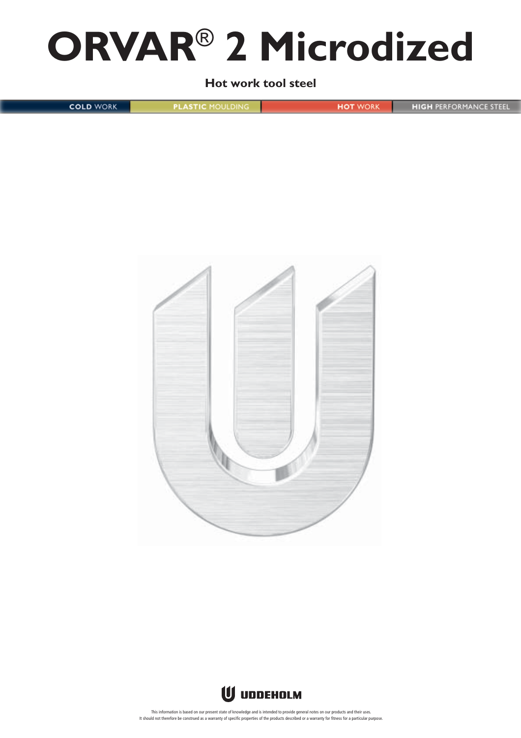# **ORVAR**® **2 Microdized**

**Hot work tool steel**

**COLD WORK PLASTIC MOULDING HOT WORK HIGH PERFORMANCE STEEL** 





This information is based on our present state of knowledge and is intended to provide general notes on our products and their uses. It should not therefore be construed as a warranty of specific properties of the products described or a warranty for fitness for a particular purpose.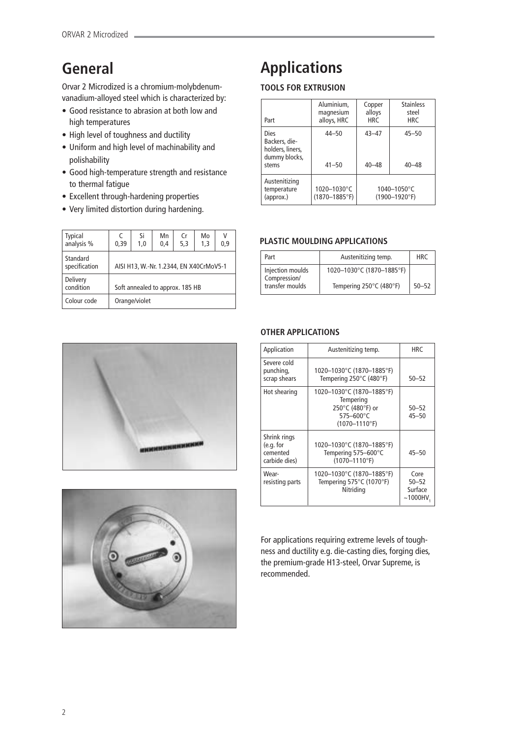# **General**

Orvar 2 Microdized is a chromium-molybdenumvanadium-alloyed steel which is characterized by:

- Good resistance to abrasion at both low and high temperatures
- High level of toughness and ductility
- Uniform and high level of machinability and polishability
- Good high-temperature strength and resistance to thermal fatigue
- Excellent through-hardening properties
- Very limited distortion during hardening.

| <b>Typical</b><br>analysis % | C<br>0,39                               | Si<br>1.0 | Mn<br>0,4 | Cr<br>5,3 | Mo<br>1.3 | V<br>0.9 |  |
|------------------------------|-----------------------------------------|-----------|-----------|-----------|-----------|----------|--|
| Standard<br>specification    | AISI H13, W.-Nr. 1.2344, EN X40CrMoV5-1 |           |           |           |           |          |  |
| Delivery<br>condition        | Soft annealed to approx. 185 HB         |           |           |           |           |          |  |
| Colour code                  | Orange/violet                           |           |           |           |           |          |  |





# **Applications**

# **TOOLS FOR EXTRUSION**

| Part                                                                | Aluminium.<br>magnesium<br>alloys, HRC | Copper<br>alloys<br><b>HRC</b> | <b>Stainless</b><br>steel<br><b>HRC</b>       |
|---------------------------------------------------------------------|----------------------------------------|--------------------------------|-----------------------------------------------|
| Dies<br>Backers, die-<br>holders, liners,<br>dummy blocks,<br>stems | $44 - 50$<br>$41 - 50$                 | $43 - 47$<br>$40 - 48$         | $45 - 50$<br>$40 - 48$                        |
| Austenitizing<br>temperature<br>(approx.)                           | 1020-1030°C<br>$(1870 - 1885$ °F)      |                                | $1040 - 1050^{\circ}$ C<br>$(1900 - 1920$ °F) |

# **PLASTIC MOULDING APPLICATIONS**

| Part                             | Austenitizing temp.       | <b>HRC</b> |
|----------------------------------|---------------------------|------------|
| Injection moulds<br>Compression/ | 1020-1030°C (1870-1885°F) |            |
| transfer moulds                  | Tempering 250°C (480°F)   | $50 - 52$  |

# **OTHER APPLICATIONS**

| Application                                            | Austenitizing temp.                                                                           | <b>HRC</b>                                  |
|--------------------------------------------------------|-----------------------------------------------------------------------------------------------|---------------------------------------------|
| Severe cold<br>punching,<br>scrap shears               | 1020-1030°C (1870-1885°F)<br>Tempering 250°C (480°F)                                          | $50 - 52$                                   |
| Hot shearing                                           | 1020-1030°C (1870-1885°F)<br>Tempering<br>250°C (480°F) or<br>575-600°C<br>$(1070 - 1110$ °F) | $50 - 52$<br>$45 - 50$                      |
| Shrink rings<br>(e.g. for<br>cemented<br>carbide dies) | 1020-1030°C (1870-1885°F)<br>Tempering 575-600°C<br>$(1070 - 1110$ °F)                        | $45 - 50$                                   |
| Wear-<br>resisting parts                               | 1020-1030°C (1870-1885°F)<br>Tempering 575°C (1070°F)<br>Nitriding                            | Core<br>$50 - 52$<br>Surface<br>$~1000$ HV. |

For applications requiring extreme levels of toughness and ductility e.g. die-casting dies, forging dies, the premium-grade H13-steel, Orvar Supreme, is recommended.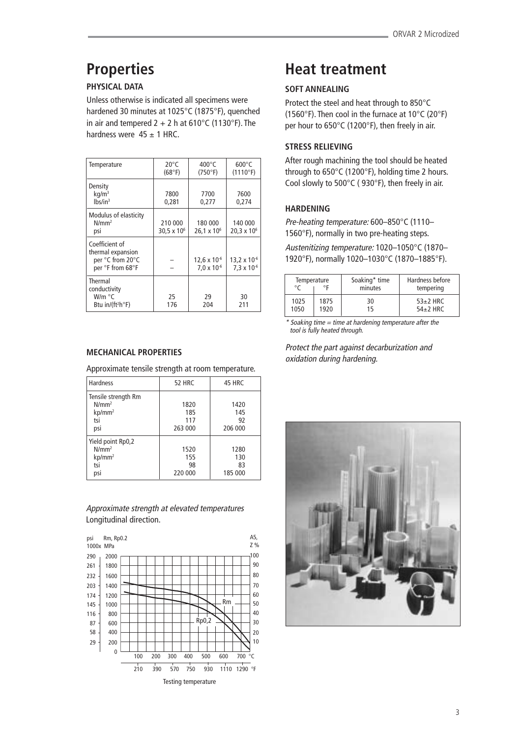# **Properties**

# **PHYSICAL DATA**

Unless otherwise is indicated all specimens were hardened 30 minutes at 1025°C (1875°F), quenched in air and tempered  $2 + 2$  h at 610°C (1130°F). The hardness were  $45 \pm 1$  HRC.

| Temperature                                                                 | $20^{\circ}$ C<br>(68°F)           | 400 $^{\circ}$ C<br>(750°F)                   | $600^{\circ}$ C<br>$(1110^{\circ}F)$          |
|-----------------------------------------------------------------------------|------------------------------------|-----------------------------------------------|-----------------------------------------------|
| Density<br>kq/m <sup>3</sup><br>lbs/in <sup>3</sup>                         | 7800<br>0,281                      | 7700<br>0,277                                 | 7600<br>0.274                                 |
| Modulus of elasticity<br>$N/mm^2$<br>psi                                    | 210 000<br>30,5 $\times$ 10 $^{6}$ | 180 000<br>$26,1 \times 10^6$                 | 140 000<br>$20,3 \times 10^6$                 |
| Coefficient of<br>thermal expansion<br>per °C from 20°C<br>per °F from 68°F |                                    | $12,6 \times 10^{-6}$<br>$7.0 \times 10^{-6}$ | $13,2 \times 10^{-6}$<br>$7,3 \times 10^{-6}$ |
| Thermal<br>conductivity<br>W/m °C<br>Btu in/(ft <sup>2</sup> h°F)           | 25<br>176                          | 29<br>204                                     | 30<br>211                                     |

# **MECHANICAL PROPERTIES**

Approximate tensile strength at room temperature.

| <b>Hardness</b>     | <b>52 HRC</b> | 45 HRC  |
|---------------------|---------------|---------|
| Tensile strength Rm |               |         |
| $N/mm^2$            | 1820          | 1420    |
| kp/mm <sup>2</sup>  | 185           | 145     |
| tsi                 | 117           | 92      |
| psi                 | 263 000       | 206 000 |
| Yield point Rp0,2   |               |         |
| N/mm <sup>2</sup>   | 1520          | 1280    |
| $kp/mm^2$           | 155           | 130     |
| tsi                 | 98            | 83      |
| psi                 | 220 000       | 185 000 |
|                     |               |         |

# Approximate strength at elevated temperatures Longitudinal direction.



# **Heat treatment**

# **SOFT ANNEALING**

Protect the steel and heat through to 850°C (1560°F). Then cool in the furnace at 10°C (20°F) per hour to 650°C (1200°F), then freely in air.

# **STRESS RELIEVING**

After rough machining the tool should be heated through to 650°C (1200°F), holding time 2 hours. Cool slowly to 500°C ( 930°F), then freely in air.

# **HARDENING**

Pre-heating temperature: 600–850°C (1110– 1560°F), normally in two pre-heating steps.

Austenitizing temperature: 1020–1050°C (1870– 1920°F), normally 1020–1030°C (1870–1885°F).

| Temperature<br>∘г<br>$\circ$ |      | Soaking* time<br>minutes | Hardness before<br>tempering |  |
|------------------------------|------|--------------------------|------------------------------|--|
| 1025                         | 1875 | 30                       | $53+2$ HRC                   |  |
| 1050                         | 1920 | 15                       | $54+2$ HRC                   |  |

 $*$  Soaking time = time at hardening temperature after the tool is fully heated through.

Protect the part against decarburization and oxidation during hardening.

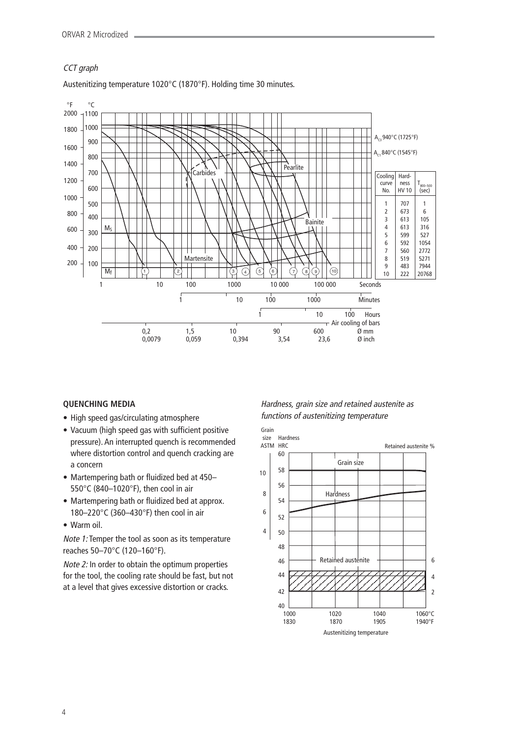# CCT graph



### Austenitizing temperature 1020°C (1870°F). Holding time 30 minutes.

# **QUENCHING MEDIA**

- High speed gas/circulating atmosphere
- Vacuum (high speed gas with sufficient positive pressure). An interrupted quench is recommended where distortion control and quench cracking are a concern
- Martempering bath or fluidized bed at 450– 550°C (840–1020°F), then cool in air
- Martempering bath or fluidized bed at approx. 180–220°C (360–430°F) then cool in air
- Warm oil.

Note 1: Temper the tool as soon as its temperature reaches 50–70°C (120–160°F).

Note 2: In order to obtain the optimum properties for the tool, the cooling rate should be fast, but not at a level that gives excessive distortion or cracks.

# Hardness, grain size and retained austenite as functions of austenitizing temperature

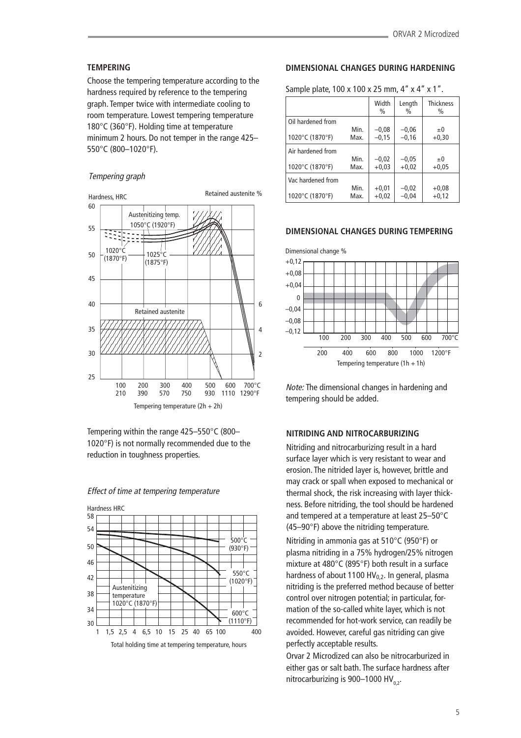### **TEMPERING**

Choose the tempering temperature according to the hardness required by reference to the tempering graph. Temper twice with intermediate cooling to room temperature. Lowest tempering temperature 180°C (360°F). Holding time at temperature minimum 2 hours. Do not temper in the range 425– 550°C (800–1020°F).

### Tempering graph



Tempering within the range 425–550°C (800– 1020°F) is not normally recommended due to the reduction in toughness properties.



Effect of time at tempering temperature

#### **DIMENSIONAL CHANGES DURING HARDENING**

Sample plate, 100 x 100 x 25 mm, 4" x 4" x 1".

|                   |      | Width<br>$\%$ | Length<br>$\frac{0}{0}$ | <b>Thickness</b><br>$\%$ |
|-------------------|------|---------------|-------------------------|--------------------------|
| Oil hardened from |      |               |                         |                          |
|                   | Min. | $-0,08$       | $-0,06$                 | $\pm 0$                  |
| 1020°C (1870°F)   | Max. | $-0.15$       | $-0.16$                 | $+0,30$                  |
| Air hardened from |      |               |                         |                          |
|                   | Min. | $-0,02$       | $-0,05$                 | ±0                       |
| 1020°C (1870°F)   | Max. | $+0.03$       | $+0.02$                 | $+0.05$                  |
| Vac hardened from |      |               |                         |                          |
|                   | Min. | $+0,01$       | $-0,02$                 | $+0.08$                  |
| 1020°C (1870°F)   | Max. | $+0.02$       | $-0.04$                 | $+0,12$                  |

#### **DIMENSIONAL CHANGES DURING TEMPERING**



Note: The dimensional changes in hardening and tempering should be added.

### **NITRIDING AND NITROCARBURIZING**

Nitriding and nitrocarburizing result in a hard surface layer which is very resistant to wear and erosion. The nitrided layer is, however, brittle and may crack or spall when exposed to mechanical or thermal shock, the risk increasing with layer thickness. Before nitriding, the tool should be hardened and tempered at a temperature at least 25–50°C (45–90°F) above the nitriding temperature.

Nitriding in ammonia gas at 510°C (950°F) or plasma nitriding in a 75% hydrogen/25% nitrogen mixture at 480°C (895°F) both result in a surface hardness of about 1100 HV $_0$ , In general, plasma nitriding is the preferred method because of better control over nitrogen potential; in particular, formation of the so-called white layer, which is not recommended for hot-work service, can readily be avoided. However, careful gas nitriding can give perfectly acceptable results.

Orvar 2 Microdized can also be nitrocarburized in either gas or salt bath. The surface hardness after nitrocarburizing is 900-1000 HV<sub>02</sub>.

5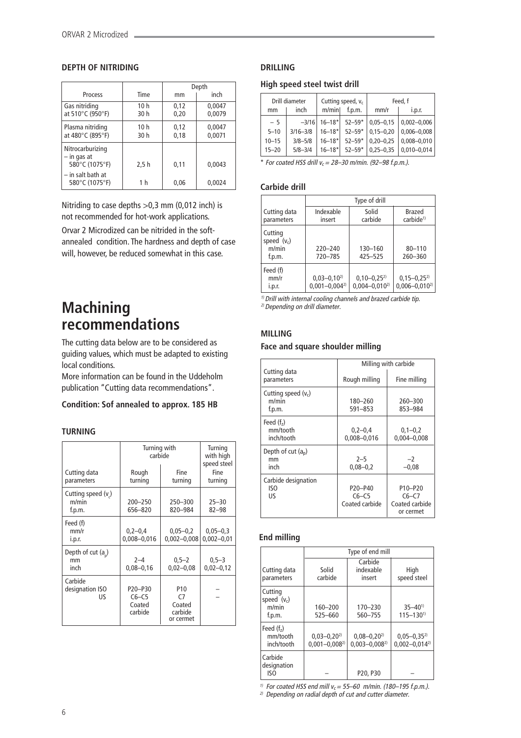### **DEPTH OF NITRIDING**

|                                                   |                         | Depth        |                  |  |
|---------------------------------------------------|-------------------------|--------------|------------------|--|
| Process                                           | Time                    | mm           | inch             |  |
| Gas nitriding<br>at 510°C (950°F)                 | 10h<br>30 h             | 0,12<br>0,20 | 0,0047<br>0,0079 |  |
| Plasma nitriding<br>at 480°C (895°F)              | 10 <sub>h</sub><br>30 h | 0,12<br>0,18 | 0,0047<br>0,0071 |  |
| Nitrocarburizing<br>- in gas at<br>580°C (1075°F) | 2,5h                    | 0,11         | 0,0043           |  |
| $-$ in salt bath at<br>580°C (1075°F)             | 1 h                     | 0.06         | 0.0024           |  |

Nitriding to case depths >0,3 mm (0,012 inch) is not recommended for hot-work applications.

Orvar 2 Microdized can be nitrided in the softannealed condition. The hardness and depth of case will, however, be reduced somewhat in this case.

# **Machining recommendations**

The cutting data below are to be considered as guiding values, which must be adapted to existing local conditions.

More information can be found in the Uddeholm publication "Cutting data recommendations".

### **Condition: Sof annealed to approx. 185 HB**

### **TURNING**

| Cutting data<br>parameters           | Turning with<br>carbide<br>Rough<br>turning | Turning<br>with high<br>speed steel<br>Fine<br>turning  |                                |
|--------------------------------------|---------------------------------------------|---------------------------------------------------------|--------------------------------|
| Cutting speed (v)<br>m/min<br>f.p.m. | 200-250<br>656-820                          | 250-300<br>820-984                                      | $25 - 30$<br>$82 - 98$         |
| Feed (f)<br>mm/r<br>i.p.r.           | $0,2-0,4$<br>$0,008 - 0,016$                | $0,05 - 0,2$<br>$0,002 - 0,008$                         | $0,05 - 0,3$<br>$0,002 - 0,01$ |
| Depth of cut $(a_n)$<br>mm<br>inch   | $2 - 4$<br>$0,08 - 0,16$                    | $0,5 - 2$<br>$0,02 - 0,08$                              | $0,5-3$<br>$0,02 - 0,12$       |
| Carbide<br>designation ISO<br>US     | P20-P30<br>$C6-C5$<br>Coated<br>carbide     | P <sub>10</sub><br>C7<br>Coated<br>carbide<br>or cermet |                                |

# **DRILLING**

### **High speed steel twist drill**

|           | Drill diameter | Cutting speed, $v_c$   |            |               | Feed, f         |
|-----------|----------------|------------------------|------------|---------------|-----------------|
| mm        | inch           | m/min                  | f.p.m.     | mm/r          | i.D.f.          |
| $-5$      | $-3/16$        | $16 - 18$ <sup>*</sup> | $52 - 59*$ | $0,05 - 0,15$ | $0,002 - 0,006$ |
| $5 - 10$  | $3/16 - 3/8$   | $16 - 18*$             | $52 - 59*$ | $0.15 - 0.20$ | $0,006 - 0,008$ |
| $10 - 15$ | $3/8 - 5/8$    | $16 - 18*$             | $52 - 59*$ | $0.20 - 0.25$ | $0,008 - 0,010$ |
| $15 - 20$ | $5/8 - 3/4$    | $16 - 18*$             | $52 - 59*$ | $0,25 - 0,35$ | $0,010 - 0,014$ |

 $*$  For coated HSS drill  $v_c = 28 - 30$  m/min. (92-98 f.p.m.).

### **Carbide drill**

|                                             | Type of drill                          |                                        |                                          |  |  |
|---------------------------------------------|----------------------------------------|----------------------------------------|------------------------------------------|--|--|
| Cutting data<br>parameters                  | Indexable<br>insert                    | Solid<br>carbide                       | Brazed<br>carbide <sup>1)</sup>          |  |  |
| Cutting<br>speed $(v_c)$<br>m/min<br>f.p.m. | $220 - 240$<br>720-785                 | 130-160<br>425-525                     | $80 - 110$<br>260-360                    |  |  |
| Feed (f)<br>mm/r<br>i.p.r.                  | $0,03-0,10^{2}$<br>$0.001 - 0.004^{2}$ | $0,10-0,25^{2}$<br>$0.004 - 0.010^{2}$ | $0,15 - 0,25^{2}$<br>$0,006 - 0,010^{2}$ |  |  |

 $1)$  Drill with internal cooling channels and brazed carbide tip. 2) Depending on drill diameter.

# **MILLING**

### **Face and square shoulder milling**

|                                          | Milling with carbide                 |                                                                            |
|------------------------------------------|--------------------------------------|----------------------------------------------------------------------------|
| Cutting data<br>parameters               | Rough milling                        | Fine milling                                                               |
| Cutting speed $(v_c)$<br>m/min<br>f.p.m. | 180-260<br>$591 - 853$               | 260-300<br>853-984                                                         |
| Feed $(fz)$<br>mm/tooth<br>inch/tooth    | $0,2-0,4$<br>$0.008 - 0.016$         | $0,1-0,2$<br>$0.004 - 0.008$                                               |
| Depth of cut $(a_n)$<br>mm<br>inch       | $2 - 5$<br>$0.08 - 0.2$              | $-2$<br>$-0.08$                                                            |
| Carbide designation<br>ISO<br>US         | P20-P40<br>$C6-C5$<br>Coated carbide | P <sub>10</sub> -P <sub>20</sub><br>$C6-C7$<br>Coated carbide<br>or cermet |

## **End milling**

|                                             | Type of end mill                       |                                       |                                          |
|---------------------------------------------|----------------------------------------|---------------------------------------|------------------------------------------|
| Cutting data<br>parameters                  | Solid<br>carbide                       | Carbide<br>indexable<br>insert        | High<br>speed steel                      |
| Cutting<br>speed $(v_c)$<br>m/min<br>f.p.m. | 160-200<br>525-660                     | 170-230<br>560-755                    | $35 - 40^{1}$<br>$115 - 130^{1}$         |
| Feed $(fz)$<br>mm/tooth<br>inch/tooth       | $0,03-0,20^{2}$<br>$0.001 - 0.008^{2}$ | $0,08 - 0,202$<br>$0.003 - 0.008^{2}$ | $0,05 - 0,35^{2}$<br>$0.002 - 0.014^{2}$ |
| Carbide<br>designation<br>ISO               |                                        | P20, P30                              |                                          |

<sup>1)</sup> For coated HSS end mill  $v_c = 55-60$  m/min. (180–195 f.p.m.). 2) Depending on radial depth of cut and cutter diameter.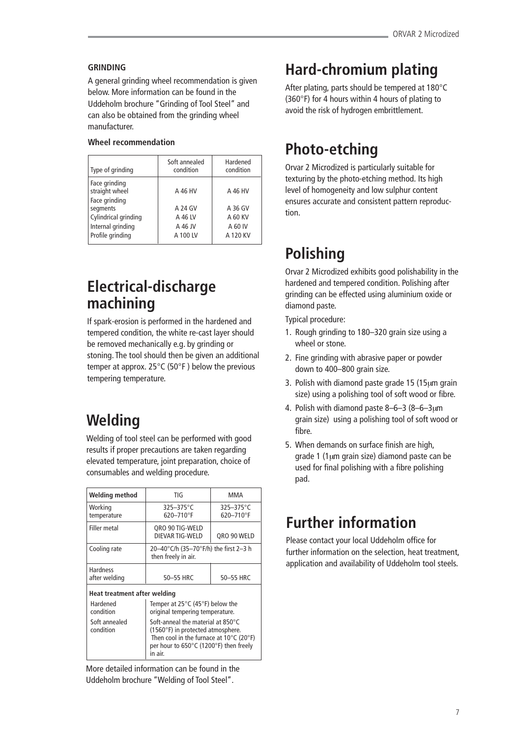# **GRINDING**

A general grinding wheel recommendation is given below. More information can be found in the Uddeholm brochure "Grinding of Tool Steel" and can also be obtained from the grinding wheel manufacturer.

# **Wheel recommendation**

| Type of grinding                | Soft annealed<br>condition | Hardened<br>condition |
|---------------------------------|----------------------------|-----------------------|
| Face grinding<br>straight wheel | A 46 HV                    | A 46 HV               |
| Face grinding<br>segments       | A 24 GV                    | A 36 GV               |
| Cylindrical grinding            | A 46 LV                    | A 60 KV               |
| Internal grinding               | A 46 JV                    | A 60 IV               |
| Profile grinding                | A 100 LV                   | A 120 KV              |

# **Electrical-discharge machining**

If spark-erosion is performed in the hardened and tempered condition, the white re-cast layer should be removed mechanically e.g. by grinding or stoning. The tool should then be given an additional temper at approx. 25°C (50°F ) below the previous tempering temperature.

# **Welding**

Welding of tool steel can be performed with good results if proper precautions are taken regarding elevated temperature, joint preparation, choice of consumables and welding procedure.

| Welding method                   | TIG                                                                                                                                                                                         | MMA                         |  |  |
|----------------------------------|---------------------------------------------------------------------------------------------------------------------------------------------------------------------------------------------|-----------------------------|--|--|
| Working<br>temperature           | $325 - 375$ °C<br>620-710°F                                                                                                                                                                 | $325 - 375$ °C<br>620-710°F |  |  |
| Filler metal                     | QRO 90 TIG-WELD<br>DIEVAR TIG-WELD                                                                                                                                                          | QRO 90 WELD                 |  |  |
| Cooling rate                     | 20-40°C/h (35-70°F/h) the first 2-3 h<br>then freely in air.                                                                                                                                |                             |  |  |
| <b>Hardness</b><br>after welding | 50-55 HRC                                                                                                                                                                                   | 50-55 HRC                   |  |  |
| Heat treatment after welding     |                                                                                                                                                                                             |                             |  |  |
| Hardened<br>condition            | Temper at $25^{\circ}$ C (45 $^{\circ}$ F) below the<br>original tempering temperature.                                                                                                     |                             |  |  |
| Soft annealed<br>condition       | Soft-anneal the material at 850°C<br>(1560°F) in protected atmosphere.<br>Then cool in the furnace at $10^{\circ}$ C (20 $^{\circ}$ F)<br>per hour to 650°C (1200°F) then freely<br>in air. |                             |  |  |

More detailed information can be found in the Uddeholm brochure "Welding of Tool Steel".

# **Hard-chromium plating**

After plating, parts should be tempered at 180°C (360°F) for 4 hours within 4 hours of plating to avoid the risk of hydrogen embrittlement.

# **Photo-etching**

Orvar 2 Microdized is particularly suitable for texturing by the photo-etching method. Its high level of homogeneity and low sulphur content ensures accurate and consistent pattern reproduction.

# **Polishing**

Orvar 2 Microdized exhibits good polishability in the hardened and tempered condition. Polishing after grinding can be effected using aluminium oxide or diamond paste.

Typical procedure:

- 1. Rough grinding to 180–320 grain size using a wheel or stone.
- 2. Fine grinding with abrasive paper or powder down to 400–800 grain size.
- 3. Polish with diamond paste grade 15 (15µm grain size) using a polishing tool of soft wood or fibre.
- 4. Polish with diamond paste 8–6–3 (8–6–3µm grain size) using a polishing tool of soft wood or fibre.
- 5. When demands on surface finish are high, grade 1 (1µm grain size) diamond paste can be used for final polishing with a fibre polishing pad.

# **Further information**

Please contact your local Uddeholm office for further information on the selection, heat treatment, application and availability of Uddeholm tool steels.